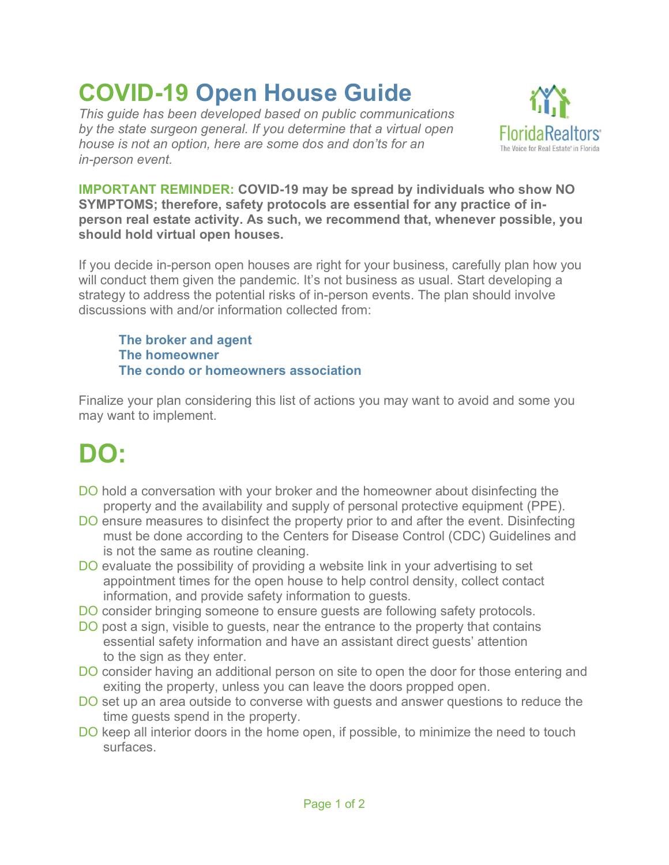## COVID-19 Open House Guide

This guide has been developed based on public communications by the state surgeon general. If you determine that a virtual open house is not an option, here are some dos and don'ts for an in-person event.



IMPORTANT REMINDER: COVID-19 may be spread by individuals who show NO SYMPTOMS; therefore, safety protocols are essential for any practice of inperson real estate activity. As such, we recommend that, whenever possible, you should hold virtual open houses.

If you decide in-person open houses are right for your business, carefully plan how you will conduct them given the pandemic. It's not business as usual. Start developing a strategy to address the potential risks of in-person events. The plan should involve discussions with and/or information collected from:

 The broker and agent The homeowner The condo or homeowners association

Finalize your plan considering this list of actions you may want to avoid and some you may want to implement.

## DO:

- DO hold a conversation with your broker and the homeowner about disinfecting the property and the availability and supply of personal protective equipment (PPE).
- DO ensure measures to disinfect the property prior to and after the event. Disinfecting must be done according to the Centers for Disease Control (CDC) Guidelines and is not the same as routine cleaning.
- DO evaluate the possibility of providing a website link in your advertising to set appointment times for the open house to help control density, collect contact information, and provide safety information to guests.
- DO consider bringing someone to ensure guests are following safety protocols.
- DO post a sign, visible to guests, near the entrance to the property that contains essential safety information and have an assistant direct guests' attention to the sign as they enter.
- DO consider having an additional person on site to open the door for those entering and exiting the property, unless you can leave the doors propped open.
- DO set up an area outside to converse with guests and answer questions to reduce the time guests spend in the property.
- DO keep all interior doors in the home open, if possible, to minimize the need to touch surfaces.